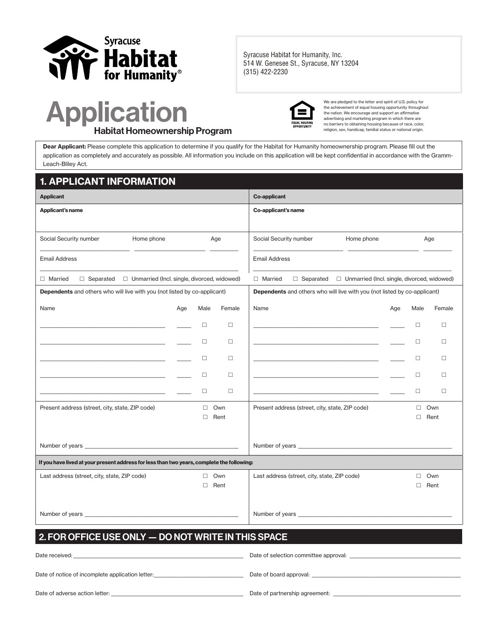

**Syracuse Habitat for Humanity, Inc. 514 W. Genesee St., Syracuse, NY 13204 (315) 422-2230**

# Application Habitat Homeownership Program



We are pledged to the letter and spirit of U.S. policy for the achievement of equal housing opportunity throughout the nation. We encourage and support an affirmative advertising and marketing program in which there are no barriers to obtaining housing because of race, color, religion, sex, handicap, familial status or national origin.

Dear Applicant: Please complete this application to determine if you qualify for the Habitat for Humanity homeownership program. Please fill out the application as completely and accurately as possible. All information you include on this application will be kept confidential in accordance with the Gramm-Leach-Bliley Act.

#### 1. APPLICANT INFORMATION Applicant Co-applicant Co-applicant Co-applicant Co-applicant Co-applicant Co-applicant Applicant's name Co-applicant's name Social Security number Home phone Age \_\_\_\_\_\_\_\_\_\_\_\_\_\_\_\_\_\_\_\_\_\_\_\_\_\_\_\_\_\_\_\_\_\_\_\_\_\_ \_\_\_\_\_\_\_\_\_\_\_\_\_\_\_\_\_\_\_\_\_\_\_\_\_\_\_\_\_\_ \_\_\_\_\_\_\_\_\_\_\_\_  $\Box$  Married  $\Box$  Separated  $\Box$  Unmarried (Incl. single, divorced, widowed) Social Security number Home phone Age \_\_\_\_\_\_\_\_\_\_\_\_\_\_\_\_\_\_\_\_\_\_\_\_\_\_\_\_\_\_\_\_\_\_\_\_\_\_ \_\_\_\_\_\_\_\_\_\_\_\_\_\_\_\_\_\_\_\_\_\_\_\_\_\_\_\_\_\_ \_\_\_\_\_\_\_\_\_\_\_\_  $\Box$  Married  $\Box$  Separated  $\Box$  Unmarried (Incl. single, divorced, widowed) Dependents and others who will live with you (not listed by co-applicant) Name **Age Male Female** Age Male Female \_\_\_\_\_\_\_\_\_\_\_\_\_\_\_\_\_\_\_\_\_\_\_\_\_\_\_\_\_\_\_\_\_\_\_\_\_\_\_\_\_\_\_\_\_\_\_\_\_\_\_\_\_ \_\_\_\_\_\_ £ £ \_\_\_\_\_\_\_\_\_\_\_\_\_\_\_\_\_\_\_\_\_\_\_\_\_\_\_\_\_\_\_\_\_\_\_\_\_\_\_\_\_\_\_\_\_\_\_\_\_\_\_\_\_ \_\_\_\_\_\_ £ £ \_\_\_\_\_\_\_\_\_\_\_\_\_\_\_\_\_\_\_\_\_\_\_\_\_\_\_\_\_\_\_\_\_\_\_\_\_\_\_\_\_\_\_\_\_\_\_\_\_\_\_\_\_ \_\_\_\_\_\_ £ £ \_\_\_\_\_\_\_\_\_\_\_\_\_\_\_\_\_\_\_\_\_\_\_\_\_\_\_\_\_\_\_\_\_\_\_\_\_\_\_\_\_\_\_\_\_\_\_\_\_\_\_\_\_ \_\_\_\_\_\_ £ £ \_\_\_\_\_\_\_\_\_\_\_\_\_\_\_\_\_\_\_\_\_\_\_\_\_\_\_\_\_\_\_\_\_\_\_\_\_\_\_\_\_\_\_\_\_\_\_\_\_\_\_\_\_ \_\_\_\_\_\_ £ £ Dependents and others who will live with you (not listed by co-applicant) Name **Age Male Female** Age Male Female \_\_\_\_\_\_\_\_\_\_\_\_\_\_\_\_\_\_\_\_\_\_\_\_\_\_\_\_\_\_\_\_\_\_\_\_\_\_\_\_\_\_\_\_\_\_\_\_\_\_\_\_\_ \_\_\_\_\_\_ £ £ \_\_\_\_\_\_\_\_\_\_\_\_\_\_\_\_\_\_\_\_\_\_\_\_\_\_\_\_\_\_\_\_\_\_\_\_\_\_\_\_\_\_\_\_\_\_\_\_\_\_\_\_\_ \_\_\_\_\_\_ £ £ \_\_\_\_\_\_\_\_\_\_\_\_\_\_\_\_\_\_\_\_\_\_\_\_\_\_\_\_\_\_\_\_\_\_\_\_\_\_\_\_\_\_\_\_\_\_\_\_\_\_\_\_\_ \_\_\_\_\_\_ £ £ \_\_\_\_\_\_\_\_\_\_\_\_\_\_\_\_\_\_\_\_\_\_\_\_\_\_\_\_\_\_\_\_\_\_\_\_\_\_\_\_\_\_\_\_\_\_\_\_\_\_\_\_\_ \_\_\_\_\_\_ £ £ \_\_\_\_\_\_\_\_\_\_\_\_\_\_\_\_\_\_\_\_\_\_\_\_\_\_\_\_\_\_\_\_\_\_\_\_\_\_\_\_\_\_\_\_\_\_\_\_\_\_\_\_\_ \_\_\_\_\_\_ £ £ Present address (street, city, state, ZIP code)  $\Box$  Own £ Rent Number of years Present address (street, city, state, ZIP code) □ Own £ Rent Number of years If you have lived at your present address for less than two years, complete the following: Last address (street, city, state, ZIP code)  $\Box$  Own £ Rent Number of years Last address (street, city, state, ZIP code)  $\Box$  Own £ Rent Number of years 2. FOR OFFICE USE ONLY — DO NOT WRITE IN THIS SPACE Email Address \_\_\_\_\_\_\_\_\_\_\_\_\_\_\_\_\_\_\_\_\_\_\_\_\_\_\_\_\_\_\_\_\_\_\_\_\_\_\_\_\_\_\_\_\_\_\_\_\_\_\_\_\_\_\_\_\_\_\_\_\_\_\_\_\_\_\_\_\_\_\_\_\_\_\_\_\_\_\_\_\_\_\_\_ Email Address \_\_\_\_\_\_\_\_\_\_\_\_\_\_\_\_\_\_\_\_\_\_\_\_\_\_\_\_\_\_\_\_\_\_\_\_\_\_\_\_\_\_\_\_\_\_\_\_\_\_\_\_\_\_\_\_\_\_\_\_\_\_\_\_\_\_\_\_\_\_\_\_\_\_\_\_\_\_\_\_\_\_\_\_

| Date received:                                   | Date of selection committee approval: |
|--------------------------------------------------|---------------------------------------|
| Date of notice of incomplete application letter: | Date of board approval:               |
|                                                  |                                       |
| Date of adverse action letter:                   | Date of partnership agreement:        |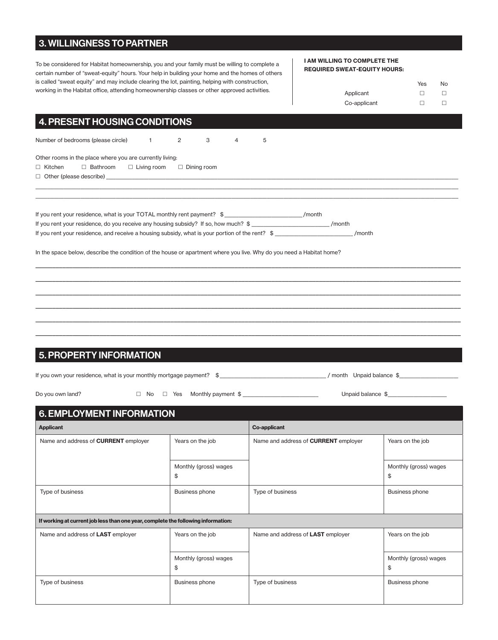### 3. WILLINGNESS TO PARTNER

To be considered for Habitat homeownership, you and your family must be willing to complete a certain number of "sweat-equity" hours. Your help in building your home and the homes of others is called "sweat equity" and may include clearing the lot, painting, helping with construction, working in the Habitat office, attending homeownership classes or other approved activities.

#### I AM WILLING TO COMPLETE THE REQUIRED SWEAT-EQUITY HOURS:

|              | Yes | <b>No</b> |
|--------------|-----|-----------|
| Applicant    |     |           |
| Co-applicant | П   |           |

### 4. PRESENT HOUSING CONDITIONS

Number of bedrooms (please circle)  $1$  2 3 4 5

Other rooms in the place where you are currently living:

 $\square$  Kitchen  $\square$  Bathroom  $\square$  Living room  $\square$  Dining room

 $\Box$  Other (please describe)  $\_$ 

| If you rent your residence, what is your TOTAL monthly rent payment? \$                         | /month |  |
|-------------------------------------------------------------------------------------------------|--------|--|
| If you rent your residence, do you receive any housing subsidy? If so, how much? \$             | /month |  |
| If you rent your residence, and receive a housing subsidy, what is your portion of the rent? \$ | /month |  |

In the space below, describe the condition of the house or apartment where you live. Why do you need a Habitat home?

### 5. PROPERTY INFORMATION

| If you own your residence, what is your monthly mortgage payment? | month | Unnaid balance |  |
|-------------------------------------------------------------------|-------|----------------|--|
|                                                                   |       |                |  |

\_\_\_\_\_\_\_\_\_\_\_\_\_\_\_\_\_\_\_\_\_\_\_\_\_\_\_\_\_\_\_\_\_\_\_\_\_\_\_\_\_\_\_\_\_\_\_\_\_\_\_\_\_\_\_\_\_\_\_\_\_\_\_\_\_\_\_\_\_\_\_\_\_\_\_\_\_\_\_\_\_\_\_\_\_\_\_\_\_\_\_\_\_\_\_\_\_\_\_\_\_\_\_\_\_\_\_\_\_\_\_\_\_\_\_\_\_\_\_\_\_\_\_\_\_\_ \_\_\_\_\_\_\_\_\_\_\_\_\_\_\_\_\_\_\_\_\_\_\_\_\_\_\_\_\_\_\_\_\_\_\_\_\_\_\_\_\_\_\_\_\_\_\_\_\_\_\_\_\_\_\_\_\_\_\_\_\_\_\_\_\_\_\_\_\_\_\_\_\_\_\_\_\_\_\_\_\_\_\_\_\_\_\_\_\_\_\_\_\_\_\_\_\_\_\_\_\_\_\_\_\_\_\_\_\_\_\_\_\_\_\_\_\_\_\_\_\_\_\_\_\_\_ \_\_\_\_\_\_\_\_\_\_\_\_\_\_\_\_\_\_\_\_\_\_\_\_\_\_\_\_\_\_\_\_\_\_\_\_\_\_\_\_\_\_\_\_\_\_\_\_\_\_\_\_\_\_\_\_\_\_\_\_\_\_\_\_\_\_\_\_\_\_\_\_\_\_\_\_\_\_\_\_\_\_\_\_\_\_\_\_\_\_\_\_\_\_\_\_\_\_\_\_\_\_\_\_\_\_\_\_\_\_\_\_\_\_\_\_\_\_\_\_\_\_\_\_\_\_ \_\_\_\_\_\_\_\_\_\_\_\_\_\_\_\_\_\_\_\_\_\_\_\_\_\_\_\_\_\_\_\_\_\_\_\_\_\_\_\_\_\_\_\_\_\_\_\_\_\_\_\_\_\_\_\_\_\_\_\_\_\_\_\_\_\_\_\_\_\_\_\_\_\_\_\_\_\_\_\_\_\_\_\_\_\_\_\_\_\_\_\_\_\_\_\_\_\_\_\_\_\_\_\_\_\_\_\_\_\_\_\_\_\_\_\_\_\_\_\_\_\_\_\_\_\_  $\Box$  . The contribution of the contribution of the contribution of the contribution of the contribution of the contribution of the contribution of the contribution of the contribution of the contribution of the contributi \_\_\_\_\_\_\_\_\_\_\_\_\_\_\_\_\_\_\_\_\_\_\_\_\_\_\_\_\_\_\_\_\_\_\_\_\_\_\_\_\_\_\_\_\_\_\_\_\_\_\_\_\_\_\_\_\_\_\_\_\_\_\_\_\_\_\_\_\_\_\_\_\_\_\_\_\_\_\_\_\_\_\_\_\_\_\_\_\_\_\_\_\_\_\_\_\_\_\_\_\_\_\_\_\_\_\_\_\_\_\_\_\_\_\_\_\_\_\_\_\_\_\_\_\_\_

| Do you own land? |  |
|------------------|--|
|------------------|--|

Do you own land? □ £ No £ Yes Monthly payment \$ \_\_\_\_\_\_\_\_\_\_\_\_\_\_\_\_\_\_\_\_\_\_\_\_\_\_\_\_\_\_\_\_ Unpaid balance \$\_\_\_\_\_\_\_\_\_\_\_\_\_\_\_\_\_\_\_\_\_\_\_\_\_

| <b>6. EMPLOYMENT INFORMATION</b>                                                  |                             |                                             |                             |  |  |  |  |  |
|-----------------------------------------------------------------------------------|-----------------------------|---------------------------------------------|-----------------------------|--|--|--|--|--|
| <b>Applicant</b>                                                                  |                             | <b>Co-applicant</b>                         |                             |  |  |  |  |  |
| Name and address of <b>CURRENT</b> employer                                       | Years on the job            | Name and address of <b>CURRENT</b> employer | Years on the job            |  |  |  |  |  |
|                                                                                   | Monthly (gross) wages<br>\$ |                                             | Monthly (gross) wages<br>\$ |  |  |  |  |  |
| Type of business                                                                  | <b>Business phone</b>       | Type of business                            | <b>Business phone</b>       |  |  |  |  |  |
| If working at current job less than one year, complete the following information: |                             |                                             |                             |  |  |  |  |  |
| Name and address of LAST employer                                                 | Years on the job            | Name and address of LAST employer           | Years on the job            |  |  |  |  |  |
|                                                                                   | Monthly (gross) wages<br>\$ |                                             | Monthly (gross) wages<br>\$ |  |  |  |  |  |
| Type of business                                                                  | <b>Business phone</b>       | Type of business                            | <b>Business phone</b>       |  |  |  |  |  |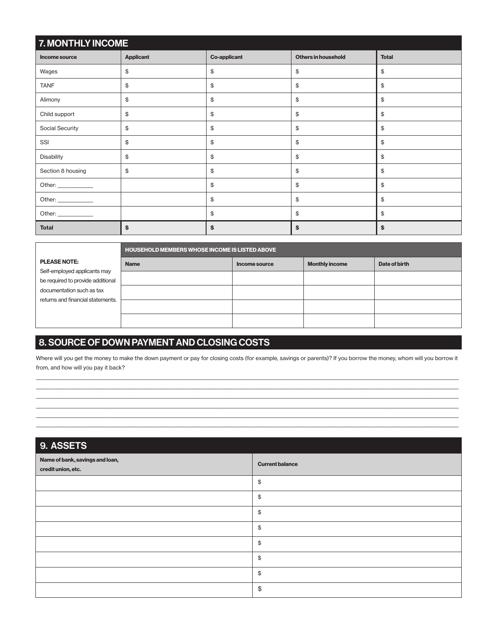| <b>7. MONTHLY INCOME</b> |              |    |    |    |  |  |  |
|--------------------------|--------------|----|----|----|--|--|--|
| Income source            | <b>Total</b> |    |    |    |  |  |  |
| Wages                    | \$           | \$ | \$ | \$ |  |  |  |
| <b>TANF</b>              | \$           | \$ | \$ | \$ |  |  |  |
| Alimony                  | \$           | \$ | \$ | \$ |  |  |  |
| Child support            | \$           | \$ | \$ | \$ |  |  |  |
| Social Security          | \$           | \$ | \$ | \$ |  |  |  |
| SSI                      | \$           | \$ | \$ | \$ |  |  |  |
| Disability               | \$           | \$ | \$ | \$ |  |  |  |
| Section 8 housing        | \$           | \$ | \$ | \$ |  |  |  |
|                          |              | \$ | \$ | \$ |  |  |  |
| Other: _____________     |              | \$ | \$ | \$ |  |  |  |
|                          |              | \$ | \$ | \$ |  |  |  |
| <b>Total</b>             | \$           | \$ | \$ | \$ |  |  |  |

|                                   |             | HOUSEHOLD MEMBERS WHOSE INCOME IS LISTED ABOVE |                       |               |  |  |  |  |  |  |
|-----------------------------------|-------------|------------------------------------------------|-----------------------|---------------|--|--|--|--|--|--|
| <b>PLEASE NOTE:</b>               | <b>Name</b> | Income source                                  | <b>Monthly income</b> | Date of birth |  |  |  |  |  |  |
| Self-employed applicants may      |             |                                                |                       |               |  |  |  |  |  |  |
| be required to provide additional |             |                                                |                       |               |  |  |  |  |  |  |
| documentation such as tax         |             |                                                |                       |               |  |  |  |  |  |  |
| returns and financial statements. |             |                                                |                       |               |  |  |  |  |  |  |
|                                   |             |                                                |                       |               |  |  |  |  |  |  |
|                                   |             |                                                |                       |               |  |  |  |  |  |  |

## 8. SOURCE OF DOWN PAYMENT AND CLOSING COSTS

Where will you get the money to make the down payment or pay for closing costs (for example, savings or parents)? If you borrow the money, whom will you borrow it from, and how will you pay it back? \_\_\_\_\_\_\_\_\_\_\_\_\_\_\_\_\_\_\_\_\_\_\_\_\_\_\_\_\_\_\_\_\_\_\_\_\_\_\_\_\_\_\_\_\_\_\_\_\_\_\_\_\_\_\_\_\_\_\_\_\_\_\_\_\_\_\_\_\_\_\_\_\_\_\_\_\_\_\_\_\_\_\_\_\_\_\_\_\_\_\_\_\_\_\_\_\_\_\_\_\_\_\_\_\_\_\_\_\_\_\_\_\_\_\_\_\_\_\_\_\_\_\_\_\_\_\_\_\_\_\_\_\_\_\_\_\_\_\_\_\_\_\_\_\_\_\_\_\_\_\_\_\_\_\_\_\_\_\_\_\_\_\_\_\_\_\_\_\_\_\_\_\_\_\_\_\_\_\_

\_\_\_\_\_\_\_\_\_\_\_\_\_\_\_\_\_\_\_\_\_\_\_\_\_\_\_\_\_\_\_\_\_\_\_\_\_\_\_\_\_\_\_\_\_\_\_\_\_\_\_\_\_\_\_\_\_\_\_\_\_\_\_\_\_\_\_\_\_\_\_\_\_\_\_\_\_\_\_\_\_\_\_\_\_\_\_\_\_\_\_\_\_\_\_\_\_\_\_\_\_\_\_\_\_\_\_\_\_\_\_\_\_\_\_\_\_\_\_\_\_\_\_\_\_\_\_\_\_\_\_\_\_\_\_\_\_\_\_\_\_\_\_\_\_\_\_\_\_\_\_\_\_\_\_\_\_\_\_\_\_\_\_\_\_\_\_\_\_\_\_\_\_\_\_\_\_\_\_ \_\_\_\_\_\_\_\_\_\_\_\_\_\_\_\_\_\_\_\_\_\_\_\_\_\_\_\_\_\_\_\_\_\_\_\_\_\_\_\_\_\_\_\_\_\_\_\_\_\_\_\_\_\_\_\_\_\_\_\_\_\_\_\_\_\_\_\_\_\_\_\_\_\_\_\_\_\_\_\_\_\_\_\_\_\_\_\_\_\_\_\_\_\_\_\_\_\_\_\_\_\_\_\_\_\_\_\_\_\_\_\_\_\_\_\_\_\_\_\_\_\_\_\_\_\_\_\_\_\_\_\_\_\_\_\_\_\_\_\_\_\_\_\_\_\_\_\_\_\_\_\_\_\_\_\_\_\_\_\_\_\_\_\_\_\_\_\_\_\_\_\_\_\_\_\_\_\_\_ \_\_\_\_\_\_\_\_\_\_\_\_\_\_\_\_\_\_\_\_\_\_\_\_\_\_\_\_\_\_\_\_\_\_\_\_\_\_\_\_\_\_\_\_\_\_\_\_\_\_\_\_\_\_\_\_\_\_\_\_\_\_\_\_\_\_\_\_\_\_\_\_\_\_\_\_\_\_\_\_\_\_\_\_\_\_\_\_\_\_\_\_\_\_\_\_\_\_\_\_\_\_\_\_\_\_\_\_\_\_\_\_\_\_\_\_\_\_\_\_\_\_\_\_\_\_\_\_\_\_\_\_\_\_\_\_\_\_\_\_\_\_\_\_\_\_\_\_\_\_\_\_\_\_\_\_\_\_\_\_\_\_\_\_\_\_\_\_\_\_\_\_\_\_\_\_\_\_\_ \_\_\_\_\_\_\_\_\_\_\_\_\_\_\_\_\_\_\_\_\_\_\_\_\_\_\_\_\_\_\_\_\_\_\_\_\_\_\_\_\_\_\_\_\_\_\_\_\_\_\_\_\_\_\_\_\_\_\_\_\_\_\_\_\_\_\_\_\_\_\_\_\_\_\_\_\_\_\_\_\_\_\_\_\_\_\_\_\_\_\_\_\_\_\_\_\_\_\_\_\_\_\_\_\_\_\_\_\_\_\_\_\_\_\_\_\_\_\_\_\_\_\_\_\_\_\_\_\_\_\_\_\_\_\_\_\_\_\_\_\_\_\_\_\_\_\_\_\_\_\_\_\_\_\_\_\_\_\_\_\_\_\_\_\_\_\_\_\_\_\_\_\_\_\_\_\_\_\_ \_\_\_\_\_\_\_\_\_\_\_\_\_\_\_\_\_\_\_\_\_\_\_\_\_\_\_\_\_\_\_\_\_\_\_\_\_\_\_\_\_\_\_\_\_\_\_\_\_\_\_\_\_\_\_\_\_\_\_\_\_\_\_\_\_\_\_\_\_\_\_\_\_\_\_\_\_\_\_\_\_\_\_\_\_\_\_\_\_\_\_\_\_\_\_\_\_\_\_\_\_\_\_\_\_\_\_\_\_\_\_\_\_\_\_\_\_\_\_\_\_\_\_\_\_\_\_\_\_\_\_\_\_\_\_\_\_\_\_\_\_\_\_\_\_\_\_\_\_\_\_\_\_\_\_\_\_\_\_\_\_\_\_\_\_\_\_\_\_\_\_\_\_\_\_\_\_\_\_

| 9. ASSETS                                             |                        |
|-------------------------------------------------------|------------------------|
| Name of bank, savings and loan,<br>credit union, etc. | <b>Current balance</b> |
|                                                       | \$                     |
|                                                       | \$                     |
|                                                       | \$                     |
|                                                       | \$                     |
|                                                       | \$                     |
|                                                       | \$                     |
|                                                       | \$                     |
|                                                       | \$                     |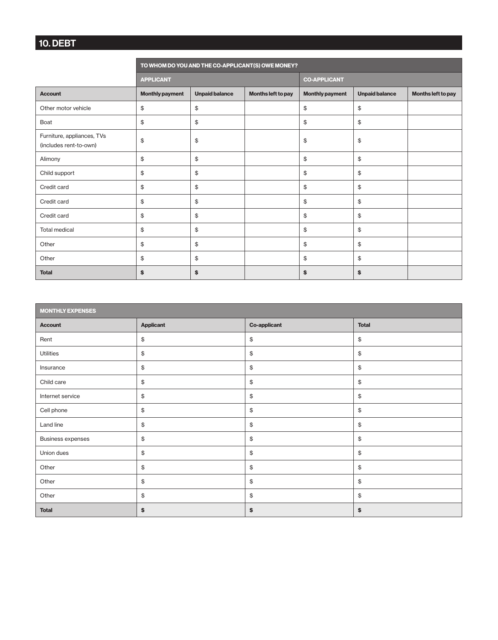# 10. DEBT

|                                                      | TO WHOM DO YOU AND THE CO-APPLICANT(S) OWE MONEY? |                       |                    |                        |                       |                    |  |  |  |
|------------------------------------------------------|---------------------------------------------------|-----------------------|--------------------|------------------------|-----------------------|--------------------|--|--|--|
|                                                      | <b>APPLICANT</b>                                  |                       |                    | <b>CO-APPLICANT</b>    |                       |                    |  |  |  |
| <b>Account</b>                                       | <b>Monthly payment</b>                            | <b>Unpaid balance</b> | Months left to pay | <b>Monthly payment</b> | <b>Unpaid balance</b> | Months left to pay |  |  |  |
| Other motor vehicle                                  | \$                                                | \$                    |                    | \$                     | \$                    |                    |  |  |  |
| Boat                                                 | \$                                                | \$                    |                    | \$                     | \$                    |                    |  |  |  |
| Furniture, appliances, TVs<br>(includes rent-to-own) | \$                                                | \$                    |                    | \$                     | \$                    |                    |  |  |  |
| Alimony                                              | \$                                                | \$                    |                    | \$                     | \$                    |                    |  |  |  |
| Child support                                        | \$                                                | \$                    |                    | \$                     | \$                    |                    |  |  |  |
| Credit card                                          | \$                                                | \$                    |                    | \$                     | \$                    |                    |  |  |  |
| Credit card                                          | \$                                                | \$                    |                    | \$                     | \$                    |                    |  |  |  |
| Credit card                                          | \$                                                | \$                    |                    | \$                     | \$                    |                    |  |  |  |
| Total medical                                        | \$                                                | \$                    |                    | \$<br>\$               |                       |                    |  |  |  |
| Other                                                | \$                                                | \$                    |                    | \$<br>\$               |                       |                    |  |  |  |
| Other                                                | \$                                                | \$                    |                    | \$                     | \$                    |                    |  |  |  |
| <b>Total</b>                                         | \$                                                | \$                    |                    | \$                     | \$                    |                    |  |  |  |

| <b>MONTHLY EXPENSES</b>  |                  |                     |              |  |  |  |
|--------------------------|------------------|---------------------|--------------|--|--|--|
| <b>Account</b>           | <b>Applicant</b> | <b>Co-applicant</b> | <b>Total</b> |  |  |  |
| Rent                     | \$               | \$                  | \$           |  |  |  |
| Utilities                | \$               | \$                  | \$           |  |  |  |
| Insurance                | $\frac{1}{2}$    | \$                  | \$           |  |  |  |
| Child care               | \$               | \$                  | \$           |  |  |  |
| Internet service         | $\frac{1}{2}$    | $\mathfrak{S}$      | \$           |  |  |  |
| Cell phone               | \$               | \$                  | \$           |  |  |  |
| Land line                | $\,$             | $\mathfrak{S}$      | \$           |  |  |  |
| <b>Business expenses</b> | \$               | \$                  | \$           |  |  |  |
| Union dues               | \$               | $\mathfrak{S}$      | \$           |  |  |  |
| Other                    | $\frac{1}{2}$    | \$                  | \$           |  |  |  |
| Other                    | $\frac{1}{2}$    | $\mathfrak{S}$      | \$           |  |  |  |
| Other                    | $\frac{1}{2}$    | \$                  | \$           |  |  |  |
| <b>Total</b>             | \$               | \$                  | \$           |  |  |  |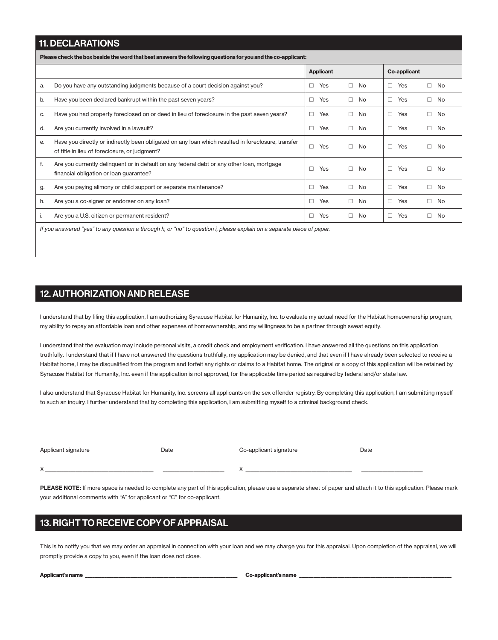### 11. DECLARATIONS

Please check the box beside the word that best answers the following questions for you and the co-applicant:

|    |                                                                                                                                                     |        | <b>Applicant</b> |        |           | <b>Co-applicant</b> |     |        |              |
|----|-----------------------------------------------------------------------------------------------------------------------------------------------------|--------|------------------|--------|-----------|---------------------|-----|--------|--------------|
| a. | Do you have any outstanding judgments because of a court decision against you?                                                                      | □      | Yes              | П.     | No.       | П.                  | Yes | П.     | No           |
| b. | Have you been declared bankrupt within the past seven years?                                                                                        | □      | Yes              | $\Box$ | No        | $\Box$              | Yes | $\Box$ | No           |
| C. | Have you had property foreclosed on or deed in lieu of foreclosure in the past seven years?                                                         | $\Box$ | Yes              | $\Box$ | No        | $\Box$              | Yes |        | $\Box$ No    |
| d. | Are you currently involved in a lawsuit?                                                                                                            | $\Box$ | Yes              | П.     | No        | П.                  | Yes |        | $\square$ No |
| е. | Have you directly or indirectly been obligated on any loan which resulted in foreclosure, transfer<br>of title in lieu of foreclosure, or judgment? | $\Box$ | Yes              | П.     | <b>No</b> | П.                  | Yes | П.     | No           |
| f. | Are you currently delinguent or in default on any federal debt or any other loan, mortgage<br>financial obligation or loan guarantee?               | $\Box$ | Yes              | П.     | No.       | П.                  | Yes | П.     | No           |
| g. | Are you paying alimony or child support or separate maintenance?                                                                                    | П      | Yes              | $\Box$ | <b>No</b> | П.                  | Yes |        | $\square$ No |
| h. | Are you a co-signer or endorser on any loan?                                                                                                        | $\Box$ | Yes              | $\Box$ | No        | $\Box$              | Yes | $\Box$ | No           |
|    | Are you a U.S. citizen or permanent resident?                                                                                                       | $\Box$ | Yes              | П.     | No.       | $\Box$              | Yes | П.     | No           |
|    | If you answered "yes" to any question a through h, or "no" to question i, please explain on a separate piece of paper.                              |        |                  |        |           |                     |     |        |              |

### 12. AUTHORIZATION AND RELEASE

I understand that by filing this application, I am authorizing Syracuse Habitat for Humanity, Inc. to evaluate my actual need for the Habitat homeownership program, my ability to repay an affordable loan and other expenses of homeownership, and my willingness to be a partner through sweat equity.

I understand that the evaluation may include personal visits, a credit check and employment verification. I have answered all the questions on this application truthfully. I understand that if I have not answered the questions truthfully, my application may be denied, and that even if I have already been selected to receive a Habitat home, I may be disqualified from the program and forfeit any rights or claims to a Habitat home. The original or a copy of this application will be retained by Syracuse Habitat for Humanity, Inc. even if the application is not approved, for the applicable time period as required by federal and/or state law.

I also understand that Syracuse Habitat for Humanity, Inc. screens all applicants on the sex offender registry. By completing this application, I am submitting myself to such an inquiry. I further understand that by completing this application, I am submitting myself to a criminal background check.

| Applicant signature | Date | Co-applicant signature | Date |
|---------------------|------|------------------------|------|
| $\checkmark$        |      |                        |      |

PLEASE NOTE: If more space is needed to complete any part of this application, please use a separate sheet of paper and attach it to this application. Please mark your additional comments with "A" for applicant or "C" for co-applicant.

### 13. RIGHT TO RECEIVE COPY OF APPRAISAL

This is to notify you that we may order an appraisal in connection with your loan and we may charge you for this appraisal. Upon completion of the appraisal, we will promptly provide a copy to you, even if the loan does not close.

| Applicant's name |  |  |  |
|------------------|--|--|--|
|------------------|--|--|--|

Co-applicant's name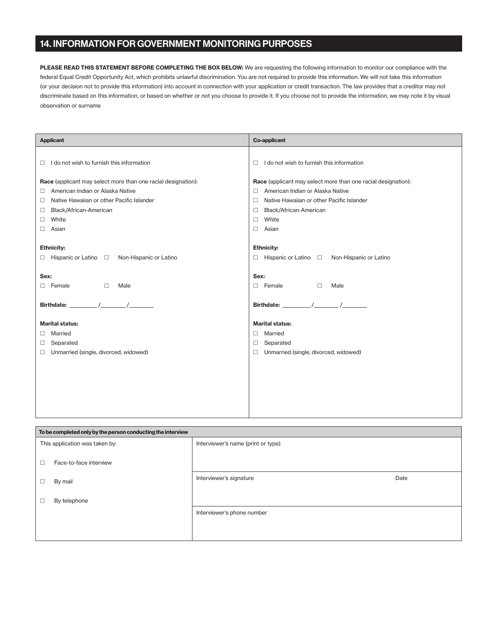### 14. INFORMATION FOR GOVERNMENT MONITORING PURPOSES

PLEASE READ THIS STATEMENT BEFORE COMPLETING THE BOX BELOW: We are requesting the following information to monitor our compliance with the federal Equal Credit Opportunity Act, which prohibits unlawful discrimination. You are not required to provide this information. We will not take this information (or your decision not to provide this information) into account in connection with your application or credit transaction. The law provides that a creditor may not discriminate based on this information, or based on whether or not you choose to provide it. If you choose not to provide the information, we may note it by visual observation or surname

| <b>Applicant</b>                                              | <b>Co-applicant</b>                                           |  |
|---------------------------------------------------------------|---------------------------------------------------------------|--|
|                                                               |                                                               |  |
| I do not wish to furnish this information<br>□                | I do not wish to furnish this information<br>п                |  |
| Race (applicant may select more than one racial designation): | Race (applicant may select more than one racial designation): |  |
| American Indian or Alaska Native<br>$\Box$                    | American Indian or Alaska Native<br>п                         |  |
| Native Hawaiian or other Pacific Islander<br>□                | Native Hawaiian or other Pacific Islander<br>□                |  |
| Black/African-American<br>$\Box$                              | Black/African-American<br>□                                   |  |
| White<br>0                                                    | White<br>□                                                    |  |
| Asian<br>$\Box$                                               | Asian<br>п                                                    |  |
|                                                               |                                                               |  |
| <b>Ethnicity:</b>                                             | <b>Ethnicity:</b>                                             |  |
| $\Box$ Hispanic or Latino $\Box$ Non-Hispanic or Latino       | $\Box$ Hispanic or Latino $\Box$ Non-Hispanic or Latino       |  |
|                                                               |                                                               |  |
| Sex:                                                          | Sex:                                                          |  |
| $\Box$<br>$\Box$ Female<br>Male                               | $\Box$ Female<br>$\Box$<br>Male                               |  |
|                                                               |                                                               |  |
|                                                               |                                                               |  |
|                                                               |                                                               |  |
| <b>Marital status:</b>                                        | <b>Marital status:</b>                                        |  |
| Married<br>0                                                  | Married<br>П.                                                 |  |
| Separated<br>$\Box$                                           | Separated<br>□                                                |  |
| Unmarried (single, divorced, widowed)<br>$\Box$               | Unmarried (single, divorced, widowed)<br>п                    |  |
|                                                               |                                                               |  |
|                                                               |                                                               |  |
|                                                               |                                                               |  |
|                                                               |                                                               |  |
|                                                               |                                                               |  |
|                                                               |                                                               |  |

| To be completed only by the person conducting the interview |                                    |      |  |
|-------------------------------------------------------------|------------------------------------|------|--|
| This application was taken by:                              | Interviewer's name (print or type) |      |  |
| Face-to-face interview<br>□                                 |                                    |      |  |
| By mail<br>□                                                | Interviewer's signature            | Date |  |
| By telephone<br>□                                           |                                    |      |  |
|                                                             | Interviewer's phone number         |      |  |
|                                                             |                                    |      |  |
|                                                             |                                    |      |  |